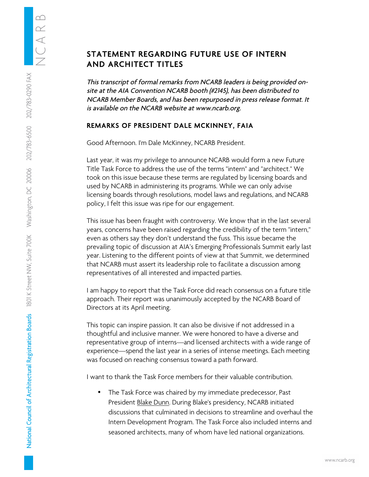## $\infty$  $\alpha$  $\triangleleft$ 202/783-6500 202/783-0290 FAX 1801 K Street NW, Suite 700K Washington, DC 20006

National Council of Architectural Registration Boards

## STATEMENT REGARDING FUTURE USE OF INTERN AND ARCHITECT TITLES

This transcript of formal remarks from NCARB leaders is being provided onsite at the AIA Convention NCARB booth (#2145), has been distributed to NCARB Member Boards, and has been repurposed in press release format. It is available on the NCARB website at www.ncarb.org.

## REMARKS OF PRESIDENT DALE MCKINNEY, FAIA

Good Afternoon. I'm Dale McKinney, NCARB President.

Last year, it was my privilege to announce NCARB would form a new Future Title Task Force to address the use of the terms "intern" and "architect." We took on this issue because these terms are regulated by licensing boards and used by NCARB in administering its programs. While we can only advise licensing boards through resolutions, model laws and regulations, and NCARB policy, I felt this issue was ripe for our engagement.

This issue has been fraught with controversy. We know that in the last several years, concerns have been raised regarding the credibility of the term "intern," even as others say they don't understand the fuss. This issue became the prevailing topic of discussion at AIA's Emerging Professionals Summit early last year. Listening to the different points of view at that Summit, we determined that NCARB must assert its leadership role to facilitate a discussion among representatives of all interested and impacted parties.

I am happy to report that the Task Force did reach consensus on a future title approach. Their report was unanimously accepted by the NCARB Board of Directors at its April meeting.

This topic can inspire passion. It can also be divisive if not addressed in a thoughtful and inclusive manner. We were honored to have a diverse and representative group of interns—and licensed architects with a wide range of experience—spend the last year in a series of intense meetings. Each meeting was focused on reaching consensus toward a path forward.

I want to thank the Task Force members for their valuable contribution.

The Task Force was chaired by my immediate predecessor, Past President Blake Dunn. During Blake's presidency, NCARB initiated discussions that culminated in decisions to streamline and overhaul the Intern Development Program. The Task Force also included interns and seasoned architects, many of whom have led national organizations.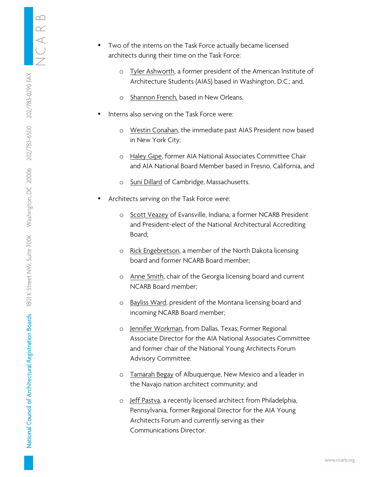$\triangleleft$ 202/783-0290 FAX 202/783-6500 Washington, DC 20006 1801 K Street NW, Suite 700K National Council of Architectural Registration Boards

- Two of the interns on the Task Force actually became licensed architects during their time on the Task Force:
	- o Tyler Ashworth, a former president of the American Institute of Architecture Students (AIAS) based in Washington, D.C.; and,
	- o Shannon French, based in New Orleans.
- Interns also serving on the Task Force were:
	- o Westin Conahan, the immediate past AIAS President now based in New York City;
	- o Haley Gipe, former AIA National Associates Committee Chair and AIA National Board Member based in Fresno, California, and
	- o Suni Dillard of Cambridge, Massachusetts.
- Architects serving on the Task Force were:
	- o Scott Veazey of Evansville, Indiana, a former NCARB President and President-elect of the National Architectural Accrediting Board;
	- o Rick Engebretson, a member of the North Dakota licensing board and former NCARB Board member;
	- o Anne Smith, chair of the Georgia licensing board and current NCARB Board member;
	- o Bayliss Ward, president of the Montana licensing board and incoming NCARB Board member;
	- o Jennifer Workman, from Dallas, Texas; Former Regional Associate Director for the AIA National Associates Committee and former chair of the National Young Architects Forum Advisory Committee.
	- o Tamarah Begay of Albuquerque, New Mexico and a leader in the Navajo nation architect community; and
	- o Jeff Pastva, a recently licensed architect from Philadelphia, Pennsylvania, former Regional Director for the AIA Young Architects Forum and currently serving as their Communications Director.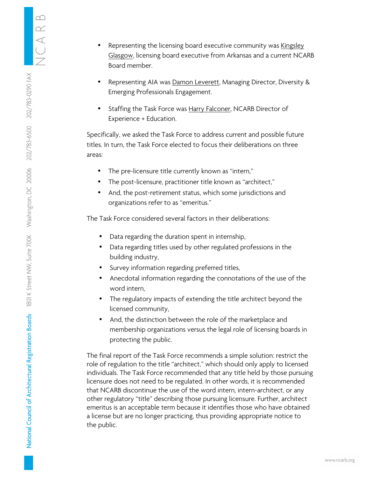- Representing the licensing board executive community was Kingsley Glasgow, licensing board executive from Arkansas and a current NCARB Board member.
- Representing AIA was **Damon Leverett**, Managing Director, Diversity & Emerging Professionals Engagement.
- Staffing the Task Force was Harry Falconer, NCARB Director of Experience + Education.

Specifically, we asked the Task Force to address current and possible future titles. In turn, the Task Force elected to focus their deliberations on three areas:

- The pre-licensure title currently known as "intern,"
- The post-licensure, practitioner title known as "architect,"
- And, the post-retirement status, which some jurisdictions and organizations refer to as "emeritus."

The Task Force considered several factors in their deliberations:

- Data regarding the duration spent in internship,
- Data regarding titles used by other regulated professions in the building industry,
- Survey information regarding preferred titles,
- Anecdotal information regarding the connotations of the use of the word intern,
- The regulatory impacts of extending the title architect beyond the licensed community,
- And, the distinction between the role of the marketplace and membership organizations versus the legal role of licensing boards in protecting the public.

The final report of the Task Force recommends a simple solution: restrict the role of regulation to the title "architect," which should only apply to licensed individuals. The Task Force recommended that any title held by those pursuing licensure does not need to be regulated. In other words, it is recommended that NCARB discontinue the use of the word intern, intern-architect, or any other regulatory "title" describing those pursuing licensure. Further, architect emeritus is an acceptable term because it identifies those who have obtained a license but are no longer practicing, thus providing appropriate notice to the public.

 $\infty$  $\alpha$  $\triangleleft$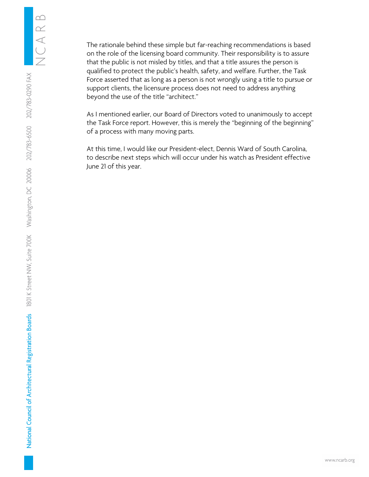The rationale behind these simple but far-reaching recommendations is based on the role of the licensing board community. Their responsibility is to assure that the public is not misled by titles, and that a title assures the person is qualified to protect the public's health, safety, and welfare. Further, the Task Force asserted that as long as a person is not wrongly using a title to pursue or support clients, the licensure process does not need to address anything beyond the use of the title "architect."

As I mentioned earlier, our Board of Directors voted to unanimously to accept the Task Force report. However, this is merely the "beginning of the beginning" of a process with many moving parts.

At this time, I would like our President-elect, Dennis Ward of South Carolina, to describe next steps which will occur under his watch as President effective June 21 of this year.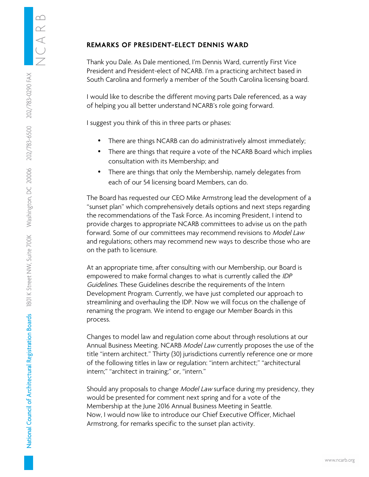Thank you Dale. As Dale mentioned, I'm Dennis Ward, currently First Vice President and President-elect of NCARB. I'm a practicing architect based in South Carolina and formerly a member of the South Carolina licensing board.

I would like to describe the different moving parts Dale referenced, as a way of helping you all better understand NCARB's role going forward.

I suggest you think of this in three parts or phases:

- There are things NCARB can do administratively almost immediately;
- There are things that require a vote of the NCARB Board which implies consultation with its Membership; and
- There are things that only the Membership, namely delegates from each of our 54 licensing board Members, can do.

The Board has requested our CEO Mike Armstrong lead the development of a "sunset plan" which comprehensively details options and next steps regarding the recommendations of the Task Force. As incoming President, I intend to provide charges to appropriate NCARB committees to advise us on the path forward. Some of our committees may recommend revisions to Model Law and regulations; others may recommend new ways to describe those who are on the path to licensure.

At an appropriate time, after consulting with our Membership, our Board is empowered to make formal changes to what is currently called the IDP Guidelines. These Guidelines describe the requirements of the Intern Development Program. Currently, we have just completed our approach to streamlining and overhauling the IDP. Now we will focus on the challenge of renaming the program. We intend to engage our Member Boards in this process.

Changes to model law and regulation come about through resolutions at our Annual Business Meeting. NCARB Model Law currently proposes the use of the title "intern architect." Thirty (30) jurisdictions currently reference one or more of the following titles in law or regulation: "intern architect;" "architectural intern;" "architect in training;" or, "intern."

Should any proposals to change Model Law surface during my presidency, they would be presented for comment next spring and for a vote of the Membership at the June 2016 Annual Business Meeting in Seattle. Now, I would now like to introduce our Chief Executive Officer, Michael Armstrong, for remarks specific to the sunset plan activity.

 $\infty$  $\alpha$